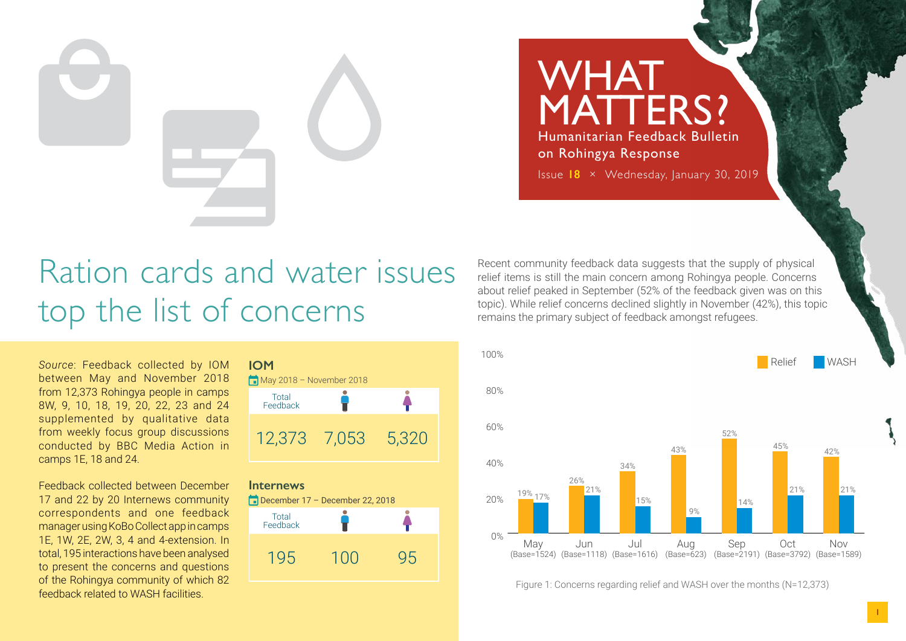**WHAT** MATTERS? Humanitarian Feedback Bulletin on Rohingya Response Issue **18** × Wednesday, January 30, 2019

# Ration cards and water issues top the list of concerns

*Source*: Feedback collected by IOM between May and November 2018 from 12,373 Rohingya people in camps 8W, 9, 10, 18, 19, 20, 22, 23 and 24 supplemented by qualitative data from weekly focus group discussions conducted by BBC Media Action in camps 1E, 18 and 24.

Feedback collected between December 17 and 22 by 20 Internews community correspondents and one feedback manager using KoBo Collect app in camps 1E, 1W, 2E, 2W, 3, 4 and 4-extension. In total, 195 interactions have been analysed to present the concerns and questions of the Rohingya community of which 82 feedback related to WASH facilities.

**IOM**



#### **Internews**



Recent community feedback data suggests that the supply of physical relief items is still the main concern among Rohingya people. Concerns about relief peaked in September (52% of the feedback given was on this topic). While relief concerns declined slightly in November (42%), this topic remains the primary subject of feedback amongst refugees.



Figure 1: Concerns regarding relief and WASH over the months (N=12,373)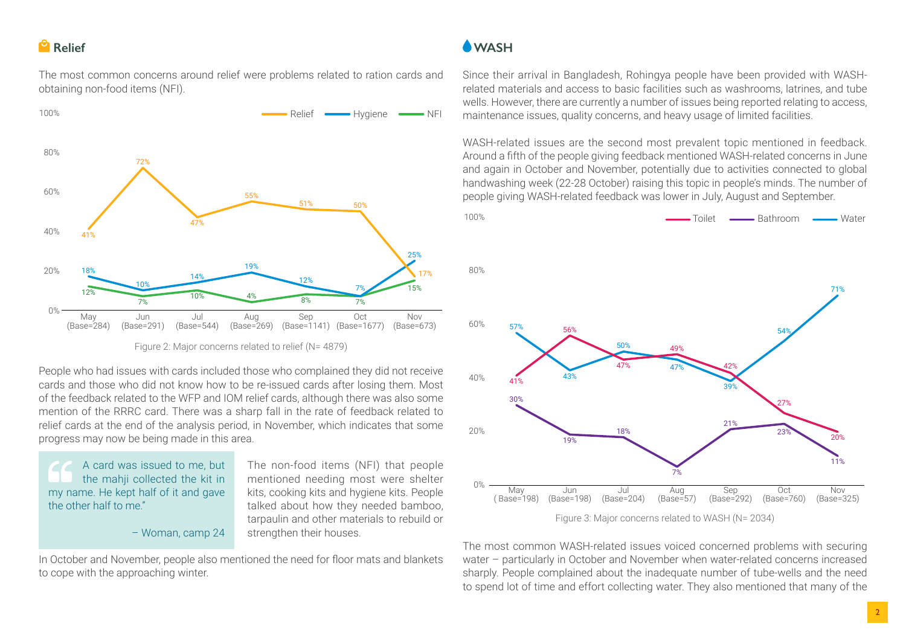### **Relief**

The most common concerns around relief were problems related to ration cards and obtaining non-food items (NFI).



Figure 2: Major concerns related to relief (N= 4879)

People who had issues with cards included those who complained they did not receive cards and those who did not know how to be re-issued cards after losing them. Most of the feedback related to the WFP and IOM relief cards, although there was also some mention of the RRRC card. There was a sharp fall in the rate of feedback related to relief cards at the end of the analysis period, in November, which indicates that some progress may now be being made in this area.

A card was issued to me, but the mahji collected the kit in my name. He kept half of it and gave the other half to me."

– Woman, camp 24

The non-food items (NFI) that people mentioned needing most were shelter kits, cooking kits and hygiene kits. People talked about how they needed bamboo, tarpaulin and other materials to rebuild or strengthen their houses.

In October and November, people also mentioned the need for floor mats and blankets to cope with the approaching winter.

## **WASH**

Since their arrival in Bangladesh, Rohingya people have been provided with WASHrelated materials and access to basic facilities such as washrooms, latrines, and tube wells. However, there are currently a number of issues being reported relating to access, maintenance issues, quality concerns, and heavy usage of limited facilities.

WASH-related issues are the second most prevalent topic mentioned in feedback. Around a fifth of the people giving feedback mentioned WASH-related concerns in June and again in October and November, potentially due to activities connected to global handwashing week (22-28 October) raising this topic in people's minds. The number of people giving WASH-related feedback was lower in July, August and September.



The most common WASH-related issues voiced concerned problems with securing water – particularly in October and November when water-related concerns increased sharply. People complained about the inadequate number of tube-wells and the need to spend lot of time and effort collecting water. They also mentioned that many of the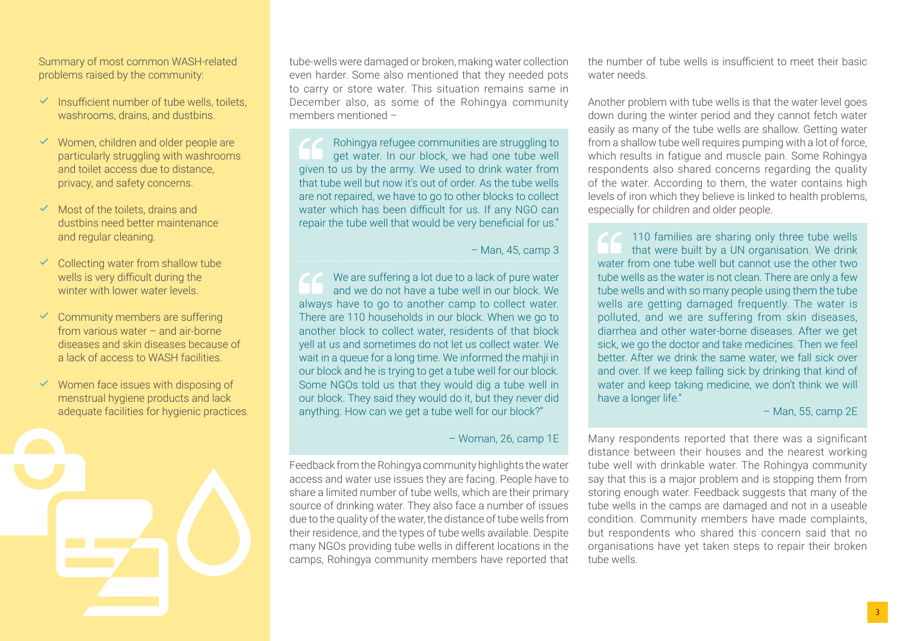Summary of most common WASH-related problems raised by the community:

- $\checkmark$  Insufficient number of tube wells, toilets, washrooms, drains, and dustbins.
- $\checkmark$  Women, children and older people are particularly struggling with washrooms and toilet access due to distance, privacy, and safety concerns.
- Most of the toilets, drains and dustbins need better maintenance and regular cleaning.
- Collecting water from shallow tube wells is very difficult during the winter with lower water levels.
- $\checkmark$  Community members are suffering from various water – and air-borne diseases and skin diseases because of a lack of access to WASH facilities.
- $\checkmark$  Women face issues with disposing of menstrual hygiene products and lack adequate facilities for hygienic practices.

tube-wells were damaged or broken, making water collection even harder. Some also mentioned that they needed pots to carry or store water. This situation remains same in December also, as some of the Rohingya community members mentioned –

Rohingya refugee communities are struggling to get water. In our block, we had one tube well given to us by the army. We used to drink water from that tube well but now it's out of order. As the tube wells are not repaired, we have to go to other blocks to collect water which has been difficult for us. If any NGO can repair the tube well that would be very beneficial for us."

– Man, 45, camp 3

We are suffering a lot due to a lack of pure water and we do not have a tube well in our block. We always have to go to another camp to collect water. There are 110 households in our block. When we go to another block to collect water, residents of that block yell at us and sometimes do not let us collect water. We wait in a queue for a long time. We informed the mahji in our block and he is trying to get a tube well for our block. Some NGOs told us that they would dig a tube well in our block. They said they would do it, but they never did anything. How can we get a tube well for our block?"

– Woman, 26, camp 1E

Feedback from the Rohingya community highlights the water access and water use issues they are facing. People have to share a limited number of tube wells, which are their primary source of drinking water. They also face a number of issues due to the quality of the water, the distance of tube wells from their residence, and the types of tube wells available. Despite many NGOs providing tube wells in different locations in the camps, Rohingya community members have reported that the number of tube wells is insufficient to meet their basic water needs.

Another problem with tube wells is that the water level goes down during the winter period and they cannot fetch water easily as many of the tube wells are shallow. Getting water from a shallow tube well requires pumping with a lot of force, which results in fatigue and muscle pain. Some Rohingya respondents also shared concerns regarding the quality of the water. According to them, the water contains high levels of iron which they believe is linked to health problems, especially for children and older people.

110 families are sharing only three tube wells that were built by a UN organisation. We drink water from one tube well but cannot use the other two tube wells as the water is not clean. There are only a few tube wells and with so many people using them the tube wells are getting damaged frequently. The water is polluted, and we are suffering from skin diseases, diarrhea and other water-borne diseases. After we get sick, we go the doctor and take medicines. Then we feel better. After we drink the same water, we fall sick over and over. If we keep falling sick by drinking that kind of water and keep taking medicine, we don't think we will have a longer life."

#### – Man, 55, camp 2E

Many respondents reported that there was a significant distance between their houses and the nearest working tube well with drinkable water. The Rohingya community say that this is a major problem and is stopping them from storing enough water. Feedback suggests that many of the tube wells in the camps are damaged and not in a useable condition. Community members have made complaints, but respondents who shared this concern said that no organisations have yet taken steps to repair their broken tube wells.